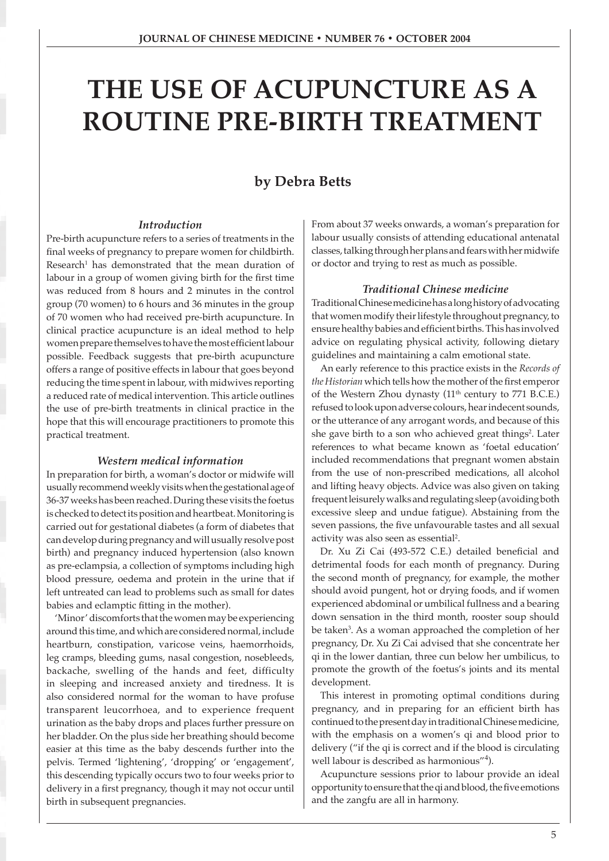# **THE USE OF ACUPUNCTURE AS A ROUTINE PRE-BIRTH TREATMENT**

# **by Debra Betts**

### *Introduction*

Pre-birth acupuncture refers to a series of treatments in the final weeks of pregnancy to prepare women for childbirth. Research<sup>1</sup> has demonstrated that the mean duration of labour in a group of women giving birth for the first time was reduced from 8 hours and 2 minutes in the control group (70 women) to 6 hours and 36 minutes in the group of 70 women who had received pre-birth acupuncture. In clinical practice acupuncture is an ideal method to help women prepare themselves to have the most efficient labour possible. Feedback suggests that pre-birth acupuncture offers a range of positive effects in labour that goes beyond reducing the time spent in labour, with midwives reporting a reduced rate of medical intervention. This article outlines the use of pre-birth treatments in clinical practice in the hope that this will encourage practitioners to promote this practical treatment.

#### *Western medical information*

In preparation for birth, a woman's doctor or midwife will usually recommend weekly visits when the gestational age of 36-37 weeks has been reached. During these visits the foetus is checked to detect its position and heartbeat. Monitoring is carried out for gestational diabetes (a form of diabetes that can develop during pregnancy and will usually resolve post birth) and pregnancy induced hypertension (also known as pre-eclampsia, a collection of symptoms including high blood pressure, oedema and protein in the urine that if left untreated can lead to problems such as small for dates babies and eclamptic fitting in the mother).

'Minor' discomforts that the women may be experiencing around this time, and which are considered normal, include heartburn, constipation, varicose veins, haemorrhoids, leg cramps, bleeding gums, nasal congestion, nosebleeds, backache, swelling of the hands and feet, difficulty in sleeping and increased anxiety and tiredness. It is also considered normal for the woman to have profuse transparent leucorrhoea, and to experience frequent urination as the baby drops and places further pressure on her bladder. On the plus side her breathing should become easier at this time as the baby descends further into the pelvis. Termed 'lightening', 'dropping' or 'engagement', this descending typically occurs two to four weeks prior to delivery in a first pregnancy, though it may not occur until birth in subsequent pregnancies.

From about 37 weeks onwards, a woman's preparation for labour usually consists of attending educational antenatal classes, talking through her plans and fears with her midwife or doctor and trying to rest as much as possible.

#### *Traditional Chinese medicine*

Traditional Chinese medicine has a long history of advocating that women modify their lifestyle throughout pregnancy, to ensure healthy babies and efficient births. This has involved advice on regulating physical activity, following dietary guidelines and maintaining a calm emotional state.

An early reference to this practice exists in the *Records of the Historian* which tells how the mother of the first emperor of the Western Zhou dynasty (11<sup>th</sup> century to 771 B.C.E.) refused to look upon adverse colours, hear indecent sounds, or the utterance of any arrogant words, and because of this she gave birth to a son who achieved great things<sup>2</sup>. Later references to what became known as 'foetal education' included recommendations that pregnant women abstain from the use of non-prescribed medications, all alcohol and lifting heavy objects. Advice was also given on taking frequent leisurely walks and regulating sleep (avoiding both excessive sleep and undue fatigue). Abstaining from the seven passions, the five unfavourable tastes and all sexual activity was also seen as essential<sup>2</sup>.

Dr. Xu Zi Cai (493-572 C.E.) detailed beneficial and detrimental foods for each month of pregnancy. During the second month of pregnancy, for example, the mother should avoid pungent, hot or drying foods, and if women experienced abdominal or umbilical fullness and a bearing down sensation in the third month, rooster soup should be taken<sup>3</sup>. As a woman approached the completion of her pregnancy, Dr. Xu Zi Cai advised that she concentrate her qi in the lower dantian, three cun below her umbilicus, to promote the growth of the foetus's joints and its mental development.

This interest in promoting optimal conditions during pregnancy, and in preparing for an efficient birth has continued to the present day in traditional Chinese medicine, with the emphasis on a women's qi and blood prior to delivery ("if the qi is correct and if the blood is circulating well labour is described as harmonious"<sup>4</sup>).

Acupuncture sessions prior to labour provide an ideal opportunity to ensure that the qi and blood, the five emotions and the zangfu are all in harmony.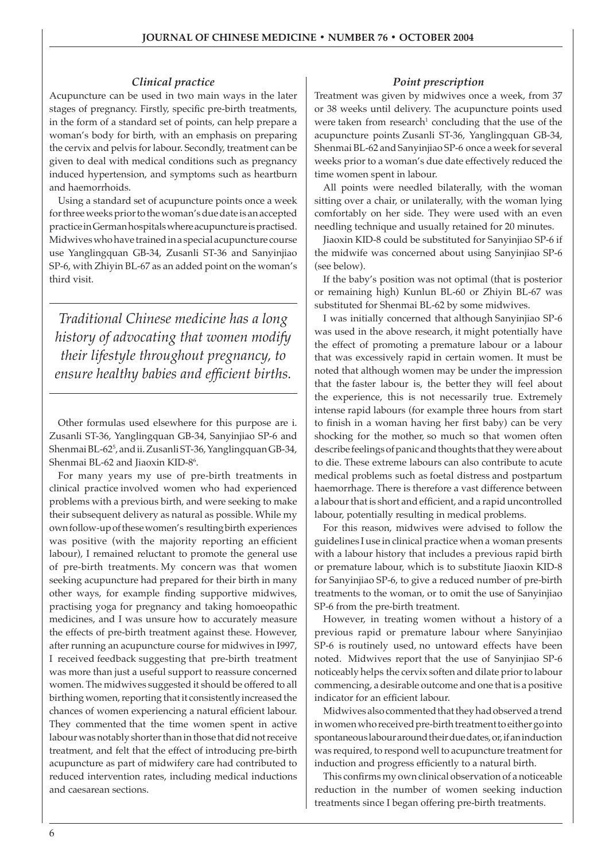# *Clinical practice*

Acupuncture can be used in two main ways in the later stages of pregnancy. Firstly, specific pre-birth treatments, in the form of a standard set of points, can help prepare a woman's body for birth, with an emphasis on preparing the cervix and pelvis for labour. Secondly, treatment can be given to deal with medical conditions such as pregnancy induced hypertension, and symptoms such as heartburn and haemorrhoids.

Using a standard set of acupuncture points once a week for three weeks prior to the woman's due date is an accepted practice in German hospitals where acupuncture is practised. Midwives who have trained in a special acupuncture course use Yanglingquan GB-34, Zusanli ST-36 and Sanyinjiao SP-6, with Zhiyin BL-67 as an added point on the woman's third visit.

*Traditional Chinese medicine has a long history of advocating that women modify their lifestyle throughout pregnancy, to ensure healthy babies and efficient births.*

Other formulas used elsewhere for this purpose are i. Zusanli ST-36, Yanglingquan GB-34, Sanyinjiao SP-6 and Shenmai BL-625 , and ii. Zusanli ST-36, Yanglingquan GB-34, Shenmai BL-62 and Jiaoxin KID-8<sup>6</sup>.

For many years my use of pre-birth treatments in clinical practice involved women who had experienced problems with a previous birth, and were seeking to make their subsequent delivery as natural as possible. While my own follow-up of these women's resulting birth experiences was positive (with the majority reporting an efficient labour), I remained reluctant to promote the general use of pre-birth treatments. My concern was that women seeking acupuncture had prepared for their birth in many other ways, for example finding supportive midwives, practising yoga for pregnancy and taking homoeopathic medicines, and I was unsure how to accurately measure the effects of pre-birth treatment against these. However, after running an acupuncture course for midwives in I997, I received feedback suggesting that pre-birth treatment was more than just a useful support to reassure concerned women. The midwives suggested it should be offered to all birthing women, reporting that it consistently increased the chances of women experiencing a natural efficient labour. They commented that the time women spent in active labour was notably shorter than in those that did not receive treatment, and felt that the effect of introducing pre-birth acupuncture as part of midwifery care had contributed to reduced intervention rates, including medical inductions and caesarean sections.

#### *Point prescription*

Treatment was given by midwives once a week, from 37 or 38 weeks until delivery. The acupuncture points used were taken from research<sup>1</sup> concluding that the use of the acupuncture points Zusanli ST-36, Yanglingquan GB-34, Shenmai BL-62 and Sanyinjiao SP-6 once a week for several weeks prior to a woman's due date effectively reduced the time women spent in labour.

All points were needled bilaterally, with the woman sitting over a chair, or unilaterally, with the woman lying comfortably on her side. They were used with an even needling technique and usually retained for 20 minutes.

Jiaoxin KID-8 could be substituted for Sanyinjiao SP-6 if the midwife was concerned about using Sanyinjiao SP-6 (see below).

If the baby's position was not optimal (that is posterior or remaining high) Kunlun BL-60 or Zhiyin BL-67 was substituted for Shenmai BL-62 by some midwives.

I was initially concerned that although Sanyinjiao SP-6 was used in the above research, it might potentially have the effect of promoting a premature labour or a labour that was excessively rapid in certain women. It must be noted that although women may be under the impression that the faster labour is, the better they will feel about the experience, this is not necessarily true. Extremely intense rapid labours (for example three hours from start to finish in a woman having her first baby) can be very shocking for the mother, so much so that women often describe feelings of panic and thoughts that they were about to die. These extreme labours can also contribute to acute medical problems such as foetal distress and postpartum haemorrhage. There is therefore a vast difference between a labour that is short and efficient, and a rapid uncontrolled labour, potentially resulting in medical problems.

For this reason, midwives were advised to follow the guidelines I use in clinical practice when a woman presents with a labour history that includes a previous rapid birth or premature labour, which is to substitute Jiaoxin KID-8 for Sanyinjiao SP-6, to give a reduced number of pre-birth treatments to the woman, or to omit the use of Sanyinjiao SP-6 from the pre-birth treatment.

However, in treating women without a history of a previous rapid or premature labour where Sanyinjiao SP-6 is routinely used, no untoward effects have been noted. Midwives report that the use of Sanyinjiao SP-6 noticeably helps the cervix soften and dilate prior to labour commencing, a desirable outcome and one that is a positive indicator for an efficient labour.

Midwives also commented that they had observed a trend in women who received pre-birth treatment to either go into spontaneous labour around their due dates, or, if an induction was required, to respond well to acupuncture treatment for induction and progress efficiently to a natural birth.

This confirms my own clinical observation of a noticeable reduction in the number of women seeking induction treatments since I began offering pre-birth treatments.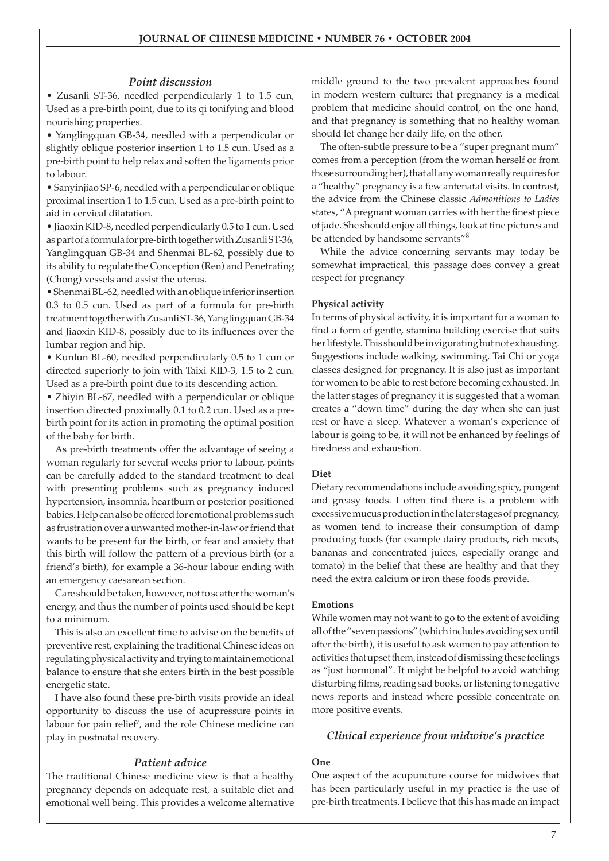# *Point discussion*

• Zusanli ST-36, needled perpendicularly 1 to 1.5 cun, Used as a pre-birth point, due to its qi tonifying and blood nourishing properties.

• Yanglingquan GB-34, needled with a perpendicular or slightly oblique posterior insertion 1 to 1.5 cun. Used as a pre-birth point to help relax and soften the ligaments prior to labour.

• Sanyinjiao SP-6, needled with a perpendicular or oblique proximal insertion 1 to 1.5 cun. Used as a pre-birth point to aid in cervical dilatation.

• Jiaoxin KID-8, needled perpendicularly 0.5 to 1 cun. Used as part of a formula for pre-birth together with Zusanli ST-36, Yanglingquan GB-34 and Shenmai BL-62, possibly due to its ability to regulate the Conception (Ren) and Penetrating (Chong) vessels and assist the uterus.

• Shenmai BL-62, needled with an oblique inferior insertion 0.3 to 0.5 cun. Used as part of a formula for pre-birth treatment together with Zusanli ST-36, Yanglingquan GB-34 and Jiaoxin KID-8, possibly due to its influences over the lumbar region and hip.

• Kunlun BL-60, needled perpendicularly 0.5 to 1 cun or directed superiorly to join with Taixi KID-3, 1.5 to 2 cun. Used as a pre-birth point due to its descending action.

• Zhiyin BL-67, needled with a perpendicular or oblique insertion directed proximally 0.1 to 0.2 cun. Used as a prebirth point for its action in promoting the optimal position of the baby for birth.

As pre-birth treatments offer the advantage of seeing a woman regularly for several weeks prior to labour, points can be carefully added to the standard treatment to deal with presenting problems such as pregnancy induced hypertension, insomnia, heartburn or posterior positioned babies. Help can also be offered for emotional problems such as frustration over a unwanted mother-in-law or friend that wants to be present for the birth, or fear and anxiety that this birth will follow the pattern of a previous birth (or a friend's birth), for example a 36-hour labour ending with an emergency caesarean section.

Care should be taken, however, not to scatter the woman's energy, and thus the number of points used should be kept to a minimum.

This is also an excellent time to advise on the benefits of preventive rest, explaining the traditional Chinese ideas on regulating physical activity and trying to maintain emotional balance to ensure that she enters birth in the best possible energetic state.

I have also found these pre-birth visits provide an ideal opportunity to discuss the use of acupressure points in labour for pain relief<sup>7</sup>, and the role Chinese medicine can play in postnatal recovery.

### *Patient advice*

The traditional Chinese medicine view is that a healthy pregnancy depends on adequate rest, a suitable diet and emotional well being. This provides a welcome alternative middle ground to the two prevalent approaches found in modern western culture: that pregnancy is a medical problem that medicine should control, on the one hand, and that pregnancy is something that no healthy woman should let change her daily life, on the other.

The often-subtle pressure to be a "super pregnant mum" comes from a perception (from the woman herself or from those surrounding her), that all any woman really requires for a "healthy" pregnancy is a few antenatal visits. In contrast, the advice from the Chinese classic *Admonitions to Ladies*  states, "A pregnant woman carries with her the finest piece of jade. She should enjoy all things, look at fine pictures and be attended by handsome servants"<sup>8</sup>

While the advice concerning servants may today be somewhat impractical, this passage does convey a great respect for pregnancy

#### **Physical activity**

In terms of physical activity, it is important for a woman to find a form of gentle, stamina building exercise that suits her lifestyle. This should be invigorating but not exhausting. Suggestions include walking, swimming, Tai Chi or yoga classes designed for pregnancy. It is also just as important for women to be able to rest before becoming exhausted. In the latter stages of pregnancy it is suggested that a woman creates a "down time" during the day when she can just rest or have a sleep. Whatever a woman's experience of labour is going to be, it will not be enhanced by feelings of tiredness and exhaustion.

#### **Diet**

Dietary recommendations include avoiding spicy, pungent and greasy foods. I often find there is a problem with excessive mucus production in the later stages of pregnancy, as women tend to increase their consumption of damp producing foods (for example dairy products, rich meats, bananas and concentrated juices, especially orange and tomato) in the belief that these are healthy and that they need the extra calcium or iron these foods provide.

#### **Emotions**

While women may not want to go to the extent of avoiding all of the "seven passions" (which includes avoiding sex until after the birth), it is useful to ask women to pay attention to activities that upset them, instead of dismissing these feelings as "just hormonal". It might be helpful to avoid watching disturbing films, reading sad books, or listening to negative news reports and instead where possible concentrate on more positive events.

# *Clinical experience from midwive's practice*

# **One**

One aspect of the acupuncture course for midwives that has been particularly useful in my practice is the use of pre-birth treatments. I believe that this has made an impact